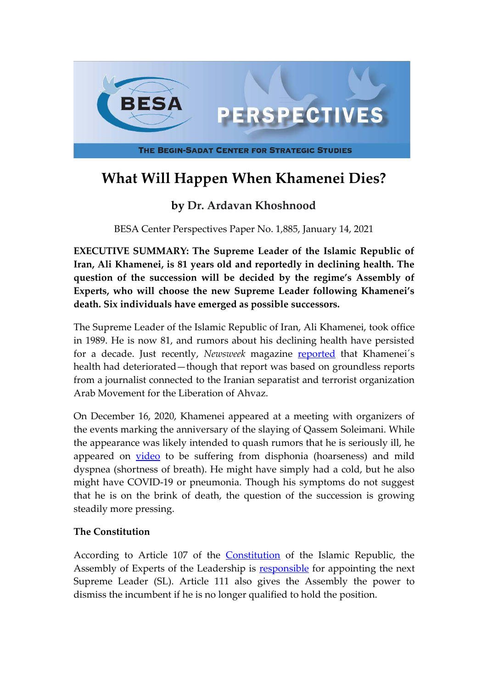

# **What Will Happen When Khamenei Dies?**

# **by Dr. Ardavan Khoshnood**

BESA Center Perspectives Paper No. 1,885, January 14, 2021

**EXECUTIVE SUMMARY: The Supreme Leader of the Islamic Republic of Iran, Ali Khamenei, is 81 years old and reportedly in declining health. The question of the succession will be decided by the regime's Assembly of Experts, who will choose the new Supreme Leader following Khamenei's death. Six individuals have emerged as possible successors.**

The Supreme Leader of the Islamic Republic of Iran, Ali Khamenei, took office in 1989. He is now 81, and rumors about his declining health have persisted for a decade. Just recently, *Newsweek* magazine [reported](https://www.newsweek.com/fakhrizadeh-iran-1552586) that Khamenei's health had deteriorated—though that report was based on groundless reports from a journalist connected to the Iranian separatist and terrorist organization Arab Movement for the Liberation of Ahvaz.

On December 16, 2020, Khamenei appeared at a meeting with organizers of the events marking the anniversary of the slaying of Qassem Soleimani. While the appearance was likely intended to quash rumors that he is seriously ill, he appeared on [video](https://farsi.khamenei.ir/video-content?id=46943) to be suffering from disphonia (hoarseness) and mild dyspnea (shortness of breath). He might have simply had a cold, but he also might have COVID-19 or pneumonia. Though his symptoms do not suggest that he is on the brink of death, the question of the succession is growing steadily more pressing.

## **The Constitution**

According to Article 107 of the [Constitution](https://en.parliran.ir/eng/en/Constitution) of the Islamic Republic, the Assembly of Experts of the Leadership is **[responsible](http://www.majlesekhobregan.ir/)** for appointing the next Supreme Leader (SL). Article 111 also gives the Assembly the power to dismiss the incumbent if he is no longer qualified to hold the position.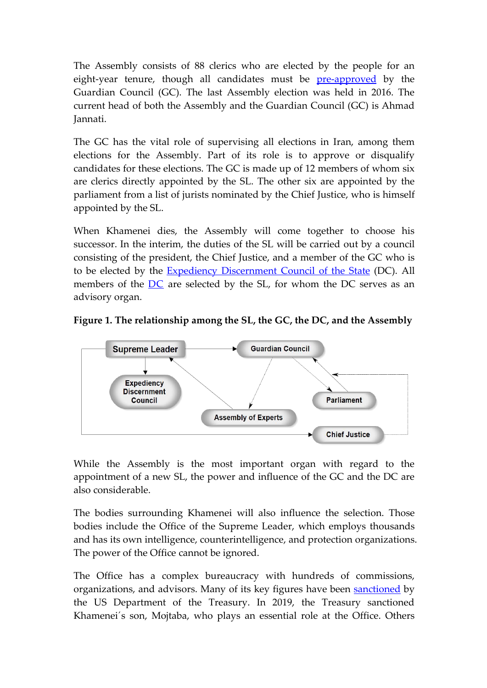The Assembly consists of 88 clerics who are elected by the people for an eight-year tenure, though all candidates must be **[pre-approved](https://www.shora-gc.ir/)** by the Guardian Council (GC). The last Assembly election was held in 2016. The current head of both the Assembly and the Guardian Council (GC) is Ahmad Jannati.

The GC has the vital role of supervising all elections in Iran, among them elections for the Assembly. Part of its role is to approve or disqualify candidates for these elections. The GC is made up of 12 members of whom six are clerics directly appointed by the SL. The other six are appointed by the parliament from a list of jurists nominated by the Chief Justice, who is himself appointed by the SL.

When Khamenei dies, the Assembly will come together to choose his successor. In the interim, the duties of the SL will be carried out by a council consisting of the president, the Chief Justice, and a member of the GC who is to be elected by the **[Expediency Discernment Council of the State](http://www.maslahat.ir/)** (DC). All members of the  $DC$  are selected by the SL, for whom the DC serves as an advisory organ.





While the Assembly is the most important organ with regard to the appointment of a new SL, the power and influence of the GC and the DC are also considerable.

The bodies surrounding Khamenei will also influence the selection. Those bodies include the Office of the Supreme Leader, which employs thousands and has its own intelligence, counterintelligence, and protection organizations. The power of the Office cannot be ignored.

The Office has a complex bureaucracy with hundreds of commissions, organizations, and advisors. Many of its key figures have been [sanctioned](https://home.treasury.gov/news/press-releases/sm824) by the US Department of the Treasury. In 2019, the Treasury sanctioned Khamenei´s son, Mojtaba, who plays an essential role at the Office. Others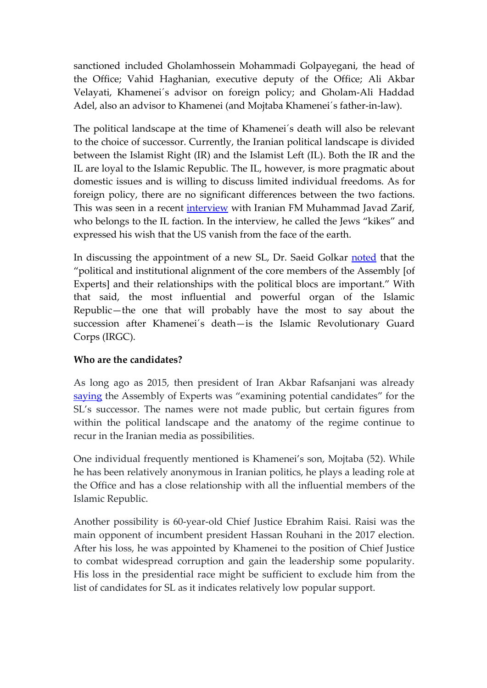sanctioned included Gholamhossein Mohammadi Golpayegani, the head of the Office; Vahid Haghanian, executive deputy of the Office; Ali Akbar Velayati, Khamenei´s advisor on foreign policy; and Gholam-Ali Haddad Adel, also an advisor to Khamenei (and Mojtaba Khamenei´s father-in-law).

The political landscape at the time of Khamenei´s death will also be relevant to the choice of successor. Currently, the Iranian political landscape is divided between the Islamist Right (IR) and the Islamist Left (IL). Both the IR and the IL are loyal to the Islamic Republic. The IL, however, is more pragmatic about domestic issues and is willing to discuss limited individual freedoms. As for foreign policy, there are no significant differences between the two factions. This was seen in a recent *[interview](https://www.memri.org/reports/iranian-foreign-minister-zarif-response-memri-tv-clip-his-statements-calling-jews-kikes)* with Iranian FM Muhammad Javad Zarif, who belongs to the IL faction. In the interview, he called the Jews "kikes" and expressed his wish that the US vanish from the face of the earth.

In discussing the appointment of a new SL, Dr. Saeid Golkar [noted](https://onlinelibrary.wiley.com/doi/abs/10.1111/mepo.12401) that the "political and institutional alignment of the core members of the Assembly [of Experts] and their relationships with the political blocs are important." With that said, the most influential and powerful organ of the Islamic Republic—the one that will probably have the most to say about the succession after Khamenei´s death—is the Islamic Revolutionary Guard Corps (IRGC).

## **Who are the candidates?**

As long ago as 2015, then president of Iran Akbar Rafsanjani was already [saying](https://www.reuters.com/article/us-iran-election-leader-idUSKBN0TW0OV20151213) the Assembly of Experts was "examining potential candidates" for the SL's successor. The names were not made public, but certain figures from within the political landscape and the anatomy of the regime continue to recur in the Iranian media as possibilities.

One individual frequently mentioned is Khamenei's son, Mojtaba (52). While he has been relatively anonymous in Iranian politics, he plays a leading role at the Office and has a close relationship with all the influential members of the Islamic Republic.

Another possibility is 60-year-old Chief Justice Ebrahim Raisi. Raisi was the main opponent of incumbent president Hassan Rouhani in the 2017 election. After his loss, he was appointed by Khamenei to the position of Chief Justice to combat widespread corruption and gain the leadership some popularity. His loss in the presidential race might be sufficient to exclude him from the list of candidates for SL as it indicates relatively low popular support.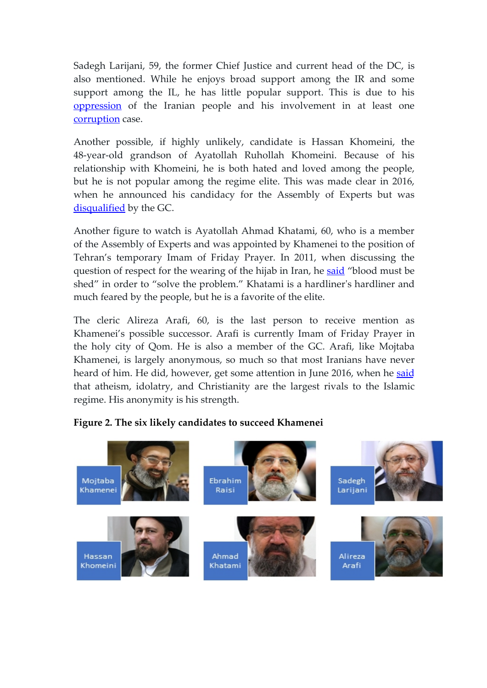Sadegh Larijani, 59, the former Chief Justice and current head of the DC, is also mentioned. While he enjoys broad support among the IR and some support among the IL, he has little popular support. This is due to his [oppression](https://www.reuters.com/article/us-iran-eu-sanctions-idUSBRE82N0EH20120324) of the Iranian people and his involvement in at least one [corruption](https://en.radiofarda.com/a/major-corruption-case-in-iran-plays-out-in-europe-as-8-suspects-hide-abroad/30661664.html) case.

Another possible, if highly unlikely, candidate is Hassan Khomeini, the 48-year-old grandson of Ayatollah Ruhollah Khomeini. Because of his relationship with Khomeini, he is both hated and loved among the people, but he is not popular among the regime elite. This was made clear in 2016, when he announced his candidacy for the Assembly of Experts but was [disqualified](https://fararu.com/fa/news/260126/%D8%B5%D9%84%D8%A7%D8%AD%DB%8C%D8%AA-%D8%B3%DB%8C%D8%AF-%D8%AD%D8%B3%D9%86-%D8%AE%D9%85%DB%8C%D9%86%DB%8C-%D8%A7%D8%AD%D8%B1%D8%A7%D8%B2-%D9%86%D8%B4%D8%AF) by the GC.

Another figure to watch is Ayatollah Ahmad Khatami, 60, who is a member of the Assembly of Experts and was appointed by Khamenei to the position of Tehran's temporary Imam of Friday Prayer. In 2011, when discussing the question of respect for the wearing of the hijab in Iran, he [said](https://fararu.com/fa/news/74980/%D8%A7%D8%AD%D9%85%D8%AF-%D8%AE%D8%A7%D8%AA%D9%85%DB%8C-%D8%A8%D8%B1%D8%A7%DB%8C-%D8%AD%D9%84-%D9%85%D8%B3%D8%A6%D9%84%D9%87-%D8%AD%D8%AC%D8%A7%D8%A8-%D8%A8%D8%A7%DB%8C%D8%AF-%D8%AE%D9%88%D9%86-%D8%B1%DB%8C%D8%AE%D8%AA%D9%258) "blood must be shed" in order to "solve the problem." Khatami is a hardliner's hardliner and much feared by the people, but he is a favorite of the elite.

The cleric Alireza Arafi, 60, is the last person to receive mention as Khamenei's possible successor. Arafi is currently Imam of Friday Prayer in the holy city of Qom. He is also a member of the GC. Arafi, like Mojtaba Khamenei, is largely anonymous, so much so that most Iranians have never heard of him. He did, however, get some attention in June 2016, when he [said](https://www.mehrnews.com/news/3718141/%D9%87%D8%B4%D8%AF%D8%A7%D8%B1-%D9%85%D8%AF%DB%8C%D8%B1-%D8%AD%D9%88%D8%B2%D9%87-%D9%87%D8%A7%DB%8C-%D8%B9%D9%84%D9%85%DB%8C%D9%87-%D8%A8%D9%87-%D9%81%D8%B9%D8%A7%D9%84%DB%8C%D8%AA-%DA%A9%D9%84%DB%8C%D8%B3%D8%A7%D9%87%25) that atheism, idolatry, and Christianity are the largest rivals to the Islamic regime. His anonymity is his strength.

#### **Figure 2. The six likely candidates to succeed Khamenei**

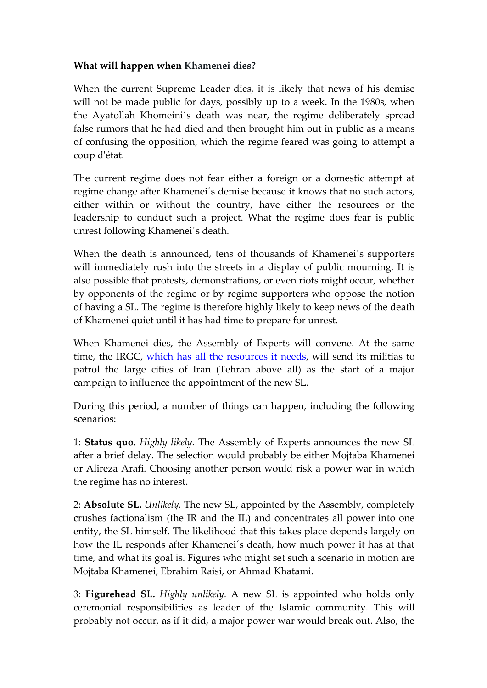#### **What will happen when Khamenei dies?**

When the current Supreme Leader dies, it is likely that news of his demise will not be made public for days, possibly up to a week. In the 1980s, when the Ayatollah Khomeini´s death was near, the regime deliberately spread false rumors that he had died and then brought him out in public as a means of confusing the opposition, which the regime feared was going to attempt a coup d'état.

The current regime does not fear either a foreign or a domestic attempt at regime change after Khamenei´s demise because it knows that no such actors, either within or without the country, have either the resources or the leadership to conduct such a project. What the regime does fear is public unrest following Khamenei´s death.

When the death is announced, tens of thousands of Khamenei´s supporters will immediately rush into the streets in a display of public mourning. It is also possible that protests, demonstrations, or even riots might occur, whether by opponents of the regime or by regime supporters who oppose the notion of having a SL. The regime is therefore highly likely to keep news of the death of Khamenei quiet until it has had time to prepare for unrest.

When Khamenei dies, the Assembly of Experts will convene. At the same time, the IRGC, [which has all the resources](http://www.cejiss.org/issue-detail/knoshnood2020) it needs, will send its militias to patrol the large cities of Iran (Tehran above all) as the start of a major campaign to influence the appointment of the new SL.

During this period, a number of things can happen, including the following scenarios:

1: **Status quo.** *Highly likely.* The Assembly of Experts announces the new SL after a brief delay. The selection would probably be either Mojtaba Khamenei or Alireza Arafi. Choosing another person would risk a power war in which the regime has no interest.

2: **Absolute SL.** *Unlikely.* The new SL, appointed by the Assembly, completely crushes factionalism (the IR and the IL) and concentrates all power into one entity, the SL himself. The likelihood that this takes place depends largely on how the IL responds after Khamenei´s death, how much power it has at that time, and what its goal is. Figures who might set such a scenario in motion are Mojtaba Khamenei, Ebrahim Raisi, or Ahmad Khatami.

3: **Figurehead SL.** *Highly unlikely.* A new SL is appointed who holds only ceremonial responsibilities as leader of the Islamic community. This will probably not occur, as if it did, a major power war would break out. Also, the